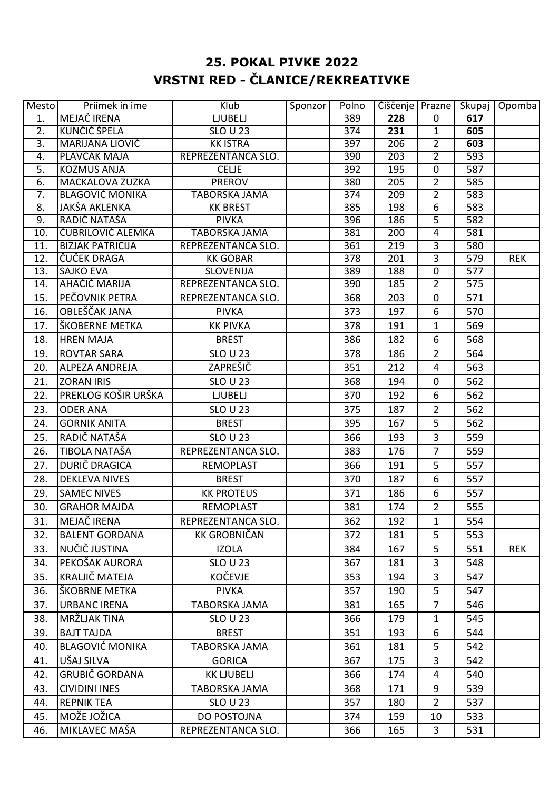## **25. POKAL PIVKE 2022 VRSTNI RED - ČLANICE/REKREATIVKE**

| Mesto            | Priimek in ime                         | Klub                                  | Sponzor | Polno            | Čiščenje   Prazne |                                  |            | Skupaj   Opomba |
|------------------|----------------------------------------|---------------------------------------|---------|------------------|-------------------|----------------------------------|------------|-----------------|
| $\overline{1}$ . | MEJAČ IRENA                            | <b>LJUBELJ</b>                        |         | 389              | 228               | $\mathbf 0$                      | 617        |                 |
| 2.               | KUNČIČ ŠPELA                           | <b>SLO U 23</b>                       |         | 374              | 231               | $\mathbf{1}$                     | 605        |                 |
| $\overline{3}$ . | <b>MARIJANA LIOVIĆ</b>                 | <b>KK ISTRA</b>                       |         | 397              | 206               | $\overline{2}$                   | 603        |                 |
| 4.               | PLAVČAK MAJA                           | REPREZENTANCA SLO.                    |         | 390              | 203               | $\overline{2}$                   | 593        |                 |
| $\overline{5}$ . | <b>KOZMUS ANJA</b>                     | <b>CELJE</b>                          |         | 392              | 195               | $\overline{0}$                   | 587        |                 |
| 6.               | <b>MACKALOVA ZUZKA</b>                 | <b>PREROV</b>                         |         | 380              | 205               | $\overline{2}$                   | 585        |                 |
| $\overline{7}$ . | <b>BLAGOVIČ MONIKA</b>                 | <b>TABORSKA JAMA</b>                  |         | $\overline{374}$ | 209               | $\overline{2}$                   | 583        |                 |
| 8.               | <b>JAKŠA AKLENKA</b>                   | <b>KK BREST</b>                       |         | 385              | 198               | 6                                | 583        |                 |
| 9.               | RADIĆ NATAŠA                           | <b>PIVKA</b>                          |         | 396              | 186               | 5                                | 582        |                 |
| 10.              | ČUBRILOVIĆ ALEMKA                      | <b>TABORSKA JAMA</b>                  |         | 381              | 200               | $\overline{4}$                   | 581        |                 |
| 11.<br>12.       | <b>BIZJAK PATRICIJA</b><br>ČUČEK DRAGA | REPREZENTANCA SLO.<br><b>KK GOBAR</b> |         | 361<br>378       | 219<br>201        | $\overline{3}$<br>$\overline{3}$ | 580<br>579 | <b>REK</b>      |
| 13.              | <b>SAJKO EVA</b>                       | <b>SLOVENIJA</b>                      |         | 389              | 188               | $\mathbf 0$                      | 577        |                 |
| 14.              | AHAČIČ MARIJA                          | REPREZENTANCA SLO.                    |         | 390              | 185               | $\overline{2}$                   | 575        |                 |
| 15.              | PEČOVNIK PETRA                         | REPREZENTANCA SLO.                    |         | 368              | 203               | $\mathbf 0$                      | 571        |                 |
| 16.              | OBLEŠČAK JANA                          | <b>PIVKA</b>                          |         | 373              | 197               | 6                                | 570        |                 |
|                  | ŠKOBERNE METKA                         |                                       |         |                  |                   |                                  | 569        |                 |
| 17.              |                                        | <b>KK PIVKA</b>                       |         | 378              | 191               | $\mathbf{1}$                     |            |                 |
| 18.              | <b>HREN MAJA</b>                       | <b>BREST</b>                          |         | 386              | 182               | 6                                | 568        |                 |
| 19.              | <b>ROVTAR SARA</b>                     | <b>SLO U 23</b>                       |         | 378              | 186               | $\overline{2}$                   | 564        |                 |
| 20.              | <b>ALPEZA ANDREJA</b>                  | ZAPREŠIČ                              |         | 351              | 212               | 4                                | 563        |                 |
| 21.              | <b>ZORAN IRIS</b>                      | <b>SLO U 23</b>                       |         | 368              | 194               | $\mathbf 0$                      | 562        |                 |
| 22.              | PREKLOG KOŠIR URŠKA                    | <b>LJUBELJ</b>                        |         | 370              | 192               | 6                                | 562        |                 |
| 23.              | <b>ODER ANA</b>                        | <b>SLO U 23</b>                       |         | 375              | 187               | $\overline{2}$                   | 562        |                 |
| 24.              | <b>GORNIK ANITA</b>                    | <b>BREST</b>                          |         | 395              | 167               | 5                                | 562        |                 |
| 25.              | RADIČ NATAŠA                           | <b>SLO U 23</b>                       |         | 366              | 193               | $\overline{3}$                   | 559        |                 |
| 26.              | TIBOLA NATAŠA                          | REPREZENTANCA SLO.                    |         | 383              | 176               | $\overline{7}$                   | 559        |                 |
| 27.              | DURIČ DRAGICA                          | <b>REMOPLAST</b>                      |         | 366              | 191               | 5                                | 557        |                 |
| 28.              | <b>DEKLEVA NIVES</b>                   | <b>BREST</b>                          |         | 370              | 187               | 6                                | 557        |                 |
| 29.              | <b>SAMEC NIVES</b>                     | <b>KK PROTEUS</b>                     |         | 371              | 186               | 6                                | 557        |                 |
| 30.              | <b>GRAHOR MAJDA</b>                    | <b>REMOPLAST</b>                      |         | 381              | 174               | $\overline{2}$                   | 555        |                 |
| 31.              | MEJAČ IRENA                            | REPREZENTANCA SLO.                    |         | 362              | 192               | $\mathbf{1}$                     | 554        |                 |
| 32.              | <b>BALENT GORDANA</b>                  | <b>KK GROBNIČAN</b>                   |         | 372              | 181               | 5                                | 553        |                 |
| 33.              | NUČIČ JUSTINA                          | <b>IZOLA</b>                          |         | 384              | 167               | 5                                | 551        | <b>REK</b>      |
| 34.              | PEKOŠAK AURORA                         | <b>SLO U 23</b>                       |         | 367              | 181               | 3                                | 548        |                 |
| 35.              | KRALJIČ MATEJA                         | KOČEVJE                               |         | 353              | 194               | 3                                | 547        |                 |
| 36.              | ŠKOBRNE METKA                          | <b>PIVKA</b>                          |         | 357              | 190               | 5                                | 547        |                 |
| 37.              | <b>URBANC IRENA</b>                    | <b>TABORSKA JAMA</b>                  |         | 381              | 165               | $\overline{7}$                   | 546        |                 |
| 38.              | MRŽLJAK TINA                           | <b>SLO U 23</b>                       |         | 366              | 179               | $\mathbf{1}$                     | 545        |                 |
| 39.              | <b>BAJT TAJDA</b>                      | <b>BREST</b>                          |         | 351              | 193               | 6                                | 544        |                 |
| 40.              | <b>BLAGOVIĆ MONIKA</b>                 | <b>TABORSKA JAMA</b>                  |         | 361              | 181               | 5                                | 542        |                 |
| 41.              | UŠAJ SILVA                             | <b>GORICA</b>                         |         | 367              | 175               | $\overline{3}$                   | 542        |                 |
| 42.              | <b>GRUBIČ GORDANA</b>                  | <b>KK LJUBELJ</b>                     |         | 366              | 174               | 4                                | 540        |                 |
| 43.              | <b>CIVIDINI INES</b>                   | TABORSKA JAMA                         |         | 368              | 171               | 9                                | 539        |                 |
| 44.              | <b>REPNIK TEA</b>                      | <b>SLO U 23</b>                       |         | 357              | 180               | $\overline{2}$                   | 537        |                 |
|                  | MOŽE JOŽICA                            |                                       |         |                  |                   |                                  |            |                 |
| 45.              |                                        | DO POSTOJNA                           |         | 374              | 159               | 10                               | 533        |                 |
| 46.              | MIKLAVEC MAŠA                          | REPREZENTANCA SLO.                    |         | 366              | 165               | 3                                | 531        |                 |